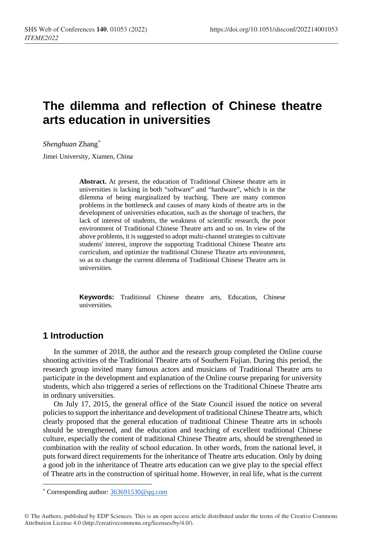# **The dilemma and reflection of Chinese theatre arts education in universities**

*Shenghuan* Zhang[\\*](#page-0-0)

Jimei University, Xiamen, China

**Abstract.** At present, the education of Traditional Chinese theatre arts in universities is lacking in both "software" and "hardware", which is in the dilemma of being marginalized by teaching. There are many common problems in the bottleneck and causes of many kinds of theatre arts in the development of universities education, such as the shortage of teachers, the lack of interest of students, the weakness of scientific research, the poor environment of Traditional Chinese Theatre arts and so on. In view of the above problems, it is suggested to adopt multi-channel strategies to cultivate students' interest, improve the supporting Traditional Chinese Theatre arts curriculum, and optimize the traditional Chinese Theatre arts environment, so as to change the current dilemma of Traditional Chinese Theatre arts in universities.

**Keywords:** Traditional Chinese theatre arts, Education, Chinese universities.

# **1 Introduction**

 $\overline{a}$ 

In the summer of 2018, the author and the research group completed the Online course shooting activities of the Traditional Theatre arts of Southern Fujian. During this period, the research group invited many famous actors and musicians of Traditional Theatre arts to participate in the development and explanation of the Online course preparing for university students, which also triggered a series of reflections on the Traditional Chinese Theatre arts in ordinary universities.

On July 17, 2015, the general office of the State Council issued the notice on several policies to support the inheritance and development of traditional Chinese Theatre arts, which clearly proposed that the general education of traditional Chinese Theatre arts in schools should be strengthened, and the education and teaching of excellent traditional Chinese culture, especially the content of traditional Chinese Theatre arts, should be strengthened in combination with the reality of school education. In other words, from the national level, it puts forward direct requirements for the inheritance of Theatre arts education. Only by doing a good job in the inheritance of Theatre arts education can we give play to the special effect of Theatre arts in the construction of spiritual home. However, in real life, what is the current

<span id="page-0-0"></span><sup>\*</sup> Corresponding author[: 363691530@qq.com](mailto:363691530@qq.com)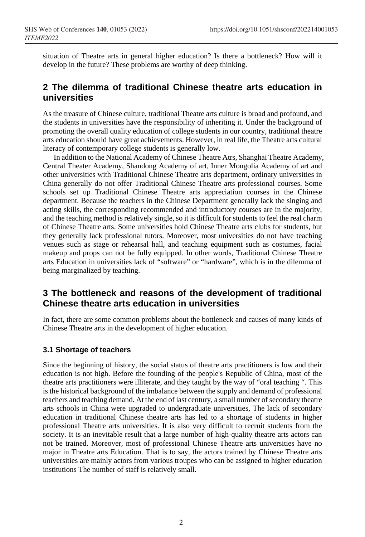situation of Theatre arts in general higher education? Is there a bottleneck? How will it develop in the future? These problems are worthy of deep thinking.

# **2 The dilemma of traditional Chinese theatre arts education in universities**

As the treasure of Chinese culture, traditional Theatre arts culture is broad and profound, and the students in universities have the responsibility of inheriting it. Under the background of promoting the overall quality education of college students in our country, traditional theatre arts education should have great achievements. However, in real life, the Theatre arts cultural literacy of contemporary college students is generally low.

In addition to the National Academy of Chinese Theatre Atrs, Shanghai Theatre Academy, Central Theater Academy, Shandong Academy of art, Inner Mongolia Academy of art and other universities with Traditional Chinese Theatre arts department, ordinary universities in China generally do not offer Traditional Chinese Theatre arts professional courses. Some schools set up Traditional Chinese Theatre arts appreciation courses in the Chinese department. Because the teachers in the Chinese Department generally lack the singing and acting skills, the corresponding recommended and introductory courses are in the majority, and the teaching method is relatively single, so it is difficult for students to feel the real charm of Chinese Theatre arts. Some universities hold Chinese Theatre arts clubs for students, but they generally lack professional tutors. Moreover, most universities do not have teaching venues such as stage or rehearsal hall, and teaching equipment such as costumes, facial makeup and props can not be fully equipped. In other words, Traditional Chinese Theatre arts Education in universities lack of "software" or "hardware", which is in the dilemma of being marginalized by teaching.

# **3 The bottleneck and reasons of the development of traditional Chinese theatre arts education in universities**

In fact, there are some common problems about the bottleneck and causes of many kinds of Chinese Theatre arts in the development of higher education.

## **3.1 Shortage of teachers**

Since the beginning of history, the social status of theatre arts practitioners is low and their education is not high. Before the founding of the people's Republic of China, most of the theatre arts practitioners were illiterate, and they taught by the way of "oral teaching ". This is the historical background of the imbalance between the supply and demand of professional teachers and teaching demand. At the end of last century, a small number of secondary theatre arts schools in China were upgraded to undergraduate universities, The lack of secondary education in traditional Chinese theatre arts has led to a shortage of students in higher professional Theatre arts universities. It is also very difficult to recruit students from the society. It is an inevitable result that a large number of high-quality theatre arts actors can not be trained. Moreover, most of professional Chinese Theatre arts universities have no major in Theatre arts Education. That is to say, the actors trained by Chinese Theatre arts universities are mainly actors from various troupes who can be assigned to higher education institutions The number of staff is relatively small.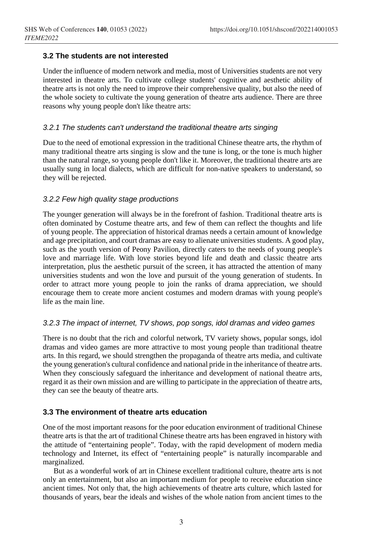## **3.2 The students are not interested**

Under the influence of modern network and media, most of Universities students are not very interested in theatre arts. To cultivate college students' cognitive and aesthetic ability of theatre arts is not only the need to improve their comprehensive quality, but also the need of the whole society to cultivate the young generation of theatre arts audience. There are three reasons why young people don't like theatre arts:

### *3.2.1 The students can't understand the traditional theatre arts singing*

Due to the need of emotional expression in the traditional Chinese theatre arts, the rhythm of many traditional theatre arts singing is slow and the tune is long, or the tone is much higher than the natural range, so young people don't like it. Moreover, the traditional theatre arts are usually sung in local dialects, which are difficult for non-native speakers to understand, so they will be rejected.

#### *3.2.2 Few high quality stage productions*

The younger generation will always be in the forefront of fashion. Traditional theatre arts is often dominated by Costume theatre arts, and few of them can reflect the thoughts and life of young people. The appreciation of historical dramas needs a certain amount of knowledge and age precipitation, and court dramas are easy to alienate universities students. A good play, such as the youth version of Peony Pavilion, directly caters to the needs of young people's love and marriage life. With love stories beyond life and death and classic theatre arts interpretation, plus the aesthetic pursuit of the screen, it has attracted the attention of many universities students and won the love and pursuit of the young generation of students. In order to attract more young people to join the ranks of drama appreciation, we should encourage them to create more ancient costumes and modern dramas with young people's life as the main line.

#### *3.2.3 The impact of internet, TV shows, pop songs, idol dramas and video games*

There is no doubt that the rich and colorful network, TV variety shows, popular songs, idol dramas and video games are more attractive to most young people than traditional theatre arts. In this regard, we should strengthen the propaganda of theatre arts media, and cultivate the young generation's cultural confidence and national pride in the inheritance of theatre arts. When they consciously safeguard the inheritance and development of national theatre arts, regard it as their own mission and are willing to participate in the appreciation of theatre arts, they can see the beauty of theatre arts.

## **3.3 The environment of theatre arts education**

One of the most important reasons for the poor education environment of traditional Chinese theatre arts is that the art of traditional Chinese theatre arts has been engraved in history with the attitude of "entertaining people". Today, with the rapid development of modern media technology and Internet, its effect of "entertaining people" is naturally incomparable and marginalized.

But as a wonderful work of art in Chinese excellent traditional culture, theatre arts is not only an entertainment, but also an important medium for people to receive education since ancient times. Not only that, the high achievements of theatre arts culture, which lasted for thousands of years, bear the ideals and wishes of the whole nation from ancient times to the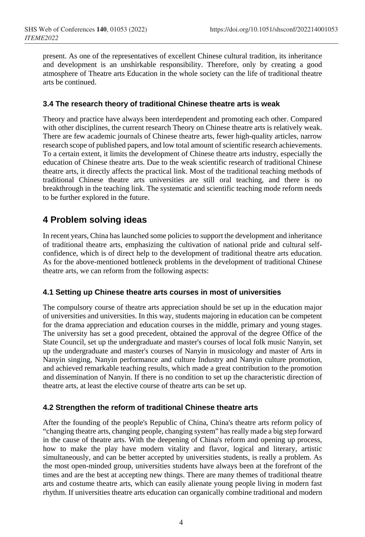present. As one of the representatives of excellent Chinese cultural tradition, its inheritance and development is an unshirkable responsibility. Therefore, only by creating a good atmosphere of Theatre arts Education in the whole society can the life of traditional theatre arts be continued.

## **3.4 The research theory of traditional Chinese theatre arts is weak**

Theory and practice have always been interdependent and promoting each other. Compared with other disciplines, the current research Theory on Chinese theatre arts is relatively weak. There are few academic journals of Chinese theatre arts, fewer high-quality articles, narrow research scope of published papers, and low total amount of scientific research achievements. To a certain extent, it limits the development of Chinese theatre arts industry, especially the education of Chinese theatre arts. Due to the weak scientific research of traditional Chinese theatre arts, it directly affects the practical link. Most of the traditional teaching methods of traditional Chinese theatre arts universities are still oral teaching, and there is no breakthrough in the teaching link. The systematic and scientific teaching mode reform needs to be further explored in the future.

# **4 Problem solving ideas**

In recent years, China has launched some policies to support the development and inheritance of traditional theatre arts, emphasizing the cultivation of national pride and cultural selfconfidence, which is of direct help to the development of traditional theatre arts education. As for the above-mentioned bottleneck problems in the development of traditional Chinese theatre arts, we can reform from the following aspects:

## **4.1 Setting up Chinese theatre arts courses in most of universities**

The compulsory course of theatre arts appreciation should be set up in the education major of universities and universities. In this way, students majoring in education can be competent for the drama appreciation and education courses in the middle, primary and young stages. The university has set a good precedent, obtained the approval of the degree Office of the State Council, set up the undergraduate and master's courses of local folk music Nanyin, set up the undergraduate and master's courses of Nanyin in musicology and master of Arts in Nanyin singing, Nanyin performance and culture Industry and Nanyin culture promotion, and achieved remarkable teaching results, which made a great contribution to the promotion and dissemination of Nanyin. If there is no condition to set up the characteristic direction of theatre arts, at least the elective course of theatre arts can be set up.

#### **4.2 Strengthen the reform of traditional Chinese theatre arts**

After the founding of the people's Republic of China, China's theatre arts reform policy of "changing theatre arts, changing people, changing system" has really made a big step forward in the cause of theatre arts. With the deepening of China's reform and opening up process, how to make the play have modern vitality and flavor, logical and literary, artistic simultaneously, and can be better accepted by universities students, is really a problem. As the most open-minded group, universities students have always been at the forefront of the times and are the best at accepting new things. There are many themes of traditional theatre arts and costume theatre arts, which can easily alienate young people living in modern fast rhythm. If universities theatre arts education can organically combine traditional and modern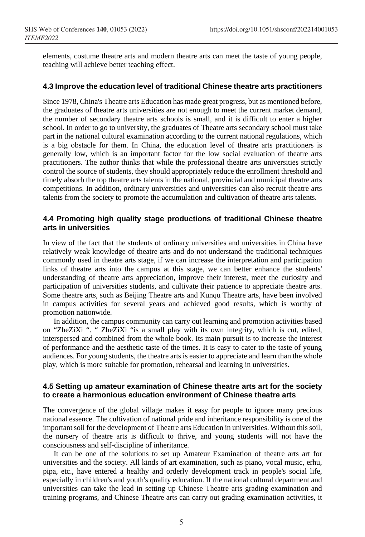elements, costume theatre arts and modern theatre arts can meet the taste of young people, teaching will achieve better teaching effect.

#### **4.3 Improve the education level of traditional Chinese theatre arts practitioners**

Since 1978, China's Theatre arts Education has made great progress, but as mentioned before, the graduates of theatre arts universities are not enough to meet the current market demand, the number of secondary theatre arts schools is small, and it is difficult to enter a higher school. In order to go to university, the graduates of Theatre arts secondary school must take part in the national cultural examination according to the current national regulations, which is a big obstacle for them. In China, the education level of theatre arts practitioners is generally low, which is an important factor for the low social evaluation of theatre arts practitioners. The author thinks that while the professional theatre arts universities strictly control the source of students, they should appropriately reduce the enrollment threshold and timely absorb the top theatre arts talents in the national, provincial and municipal theatre arts competitions. In addition, ordinary universities and universities can also recruit theatre arts talents from the society to promote the accumulation and cultivation of theatre arts talents.

#### **4.4 Promoting high quality stage productions of traditional Chinese theatre arts in universities**

In view of the fact that the students of ordinary universities and universities in China have relatively weak knowledge of theatre arts and do not understand the traditional techniques commonly used in theatre arts stage, if we can increase the interpretation and participation links of theatre arts into the campus at this stage, we can better enhance the students' understanding of theatre arts appreciation, improve their interest, meet the curiosity and participation of universities students, and cultivate their patience to appreciate theatre arts. Some theatre arts, such as Beijing Theatre arts and Kunqu Theatre arts, have been involved in campus activities for several years and achieved good results, which is worthy of promotion nationwide.

In addition, the campus community can carry out learning and promotion activities based on "ZheZiXi ". " ZheZiXi "is a small play with its own integrity, which is cut, edited, interspersed and combined from the whole book. Its main pursuit is to increase the interest of performance and the aesthetic taste of the times. It is easy to cater to the taste of young audiences. For young students, the theatre arts is easier to appreciate and learn than the whole play, which is more suitable for promotion, rehearsal and learning in universities.

#### **4.5 Setting up amateur examination of Chinese theatre arts art for the society to create a harmonious education environment of Chinese theatre arts**

The convergence of the global village makes it easy for people to ignore many precious national essence. The cultivation of national pride and inheritance responsibility is one of the important soil for the development of Theatre arts Education in universities. Without this soil, the nursery of theatre arts is difficult to thrive, and young students will not have the consciousness and self-discipline of inheritance.

It can be one of the solutions to set up Amateur Examination of theatre arts art for universities and the society. All kinds of art examination, such as piano, vocal music, erhu, pipa, etc., have entered a healthy and orderly development track in people's social life, especially in children's and youth's quality education. If the national cultural department and universities can take the lead in setting up Chinese Theatre arts grading examination and training programs, and Chinese Theatre arts can carry out grading examination activities, it